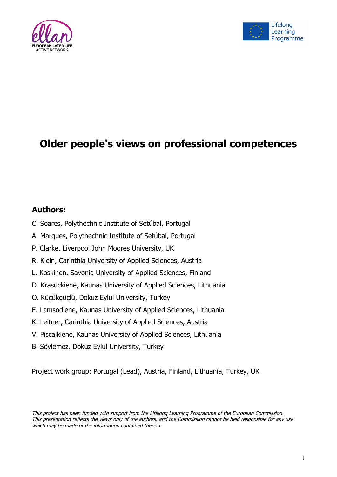



# **Older people's views on professional competences**

## **Authors:**

- C. Soares, Polythechnic Institute of Setúbal, Portugal
- A. Marques, Polythechnic Institute of Setúbal, Portugal
- P. Clarke, Liverpool John Moores University, UK
- R. Klein, Carinthia University of Applied Sciences, Austria
- L. Koskinen, Savonia University of Applied Sciences, Finland
- D. Krasuckiene, Kaunas University of Applied Sciences, Lithuania
- O. Küçükgüçlü, Dokuz Eylul University, Turkey
- E. Lamsodiene, Kaunas University of Applied Sciences, Lithuania
- K. Leitner, Carinthia University of Applied Sciences, Austria
- V. Piscalkiene, Kaunas University of Applied Sciences, Lithuania
- B. Söylemez, Dokuz Eylul University, Turkey

Project work group: Portugal (Lead), Austria, Finland, Lithuania, Turkey, UK

This project has been funded with support from the Lifelong Learning Programme of the European Commission. This presentation reflects the views only of the authors, and the Commission cannot be held responsible for any use which may be made of the information contained therein.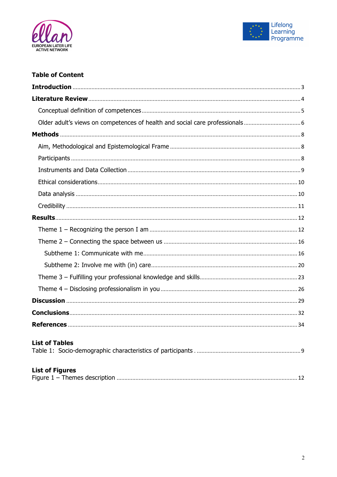



## **Table of Content**

| <b>List of Tables</b>  |
|------------------------|
| <b>List of Figures</b> |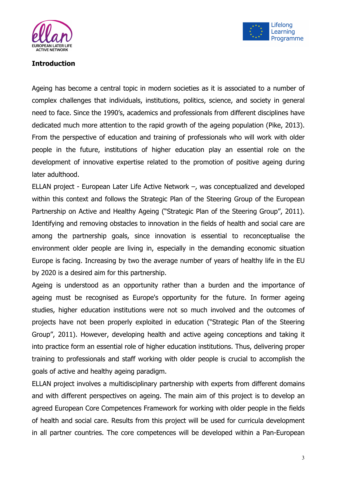



## **Introduction**

Ageing has become a central topic in modern societies as it is associated to a number of complex challenges that individuals, institutions, politics, science, and society in general need to face. Since the 1990's, academics and professionals from different disciplines have dedicated much more attention to the rapid growth of the ageing population (Pike, 2013). From the perspective of education and training of professionals who will work with older people in the future, institutions of higher education play an essential role on the development of innovative expertise related to the promotion of positive ageing during later adulthood.

ELLAN project - European Later Life Active Network –, was conceptualized and developed within this context and follows the Strategic Plan of the Steering Group of the European Partnership on Active and Healthy Ageing ("Strategic Plan of the Steering Group", 2011). Identifying and removing obstacles to innovation in the fields of health and social care are among the partnership goals, since innovation is essential to reconceptualise the environment older people are living in, especially in the demanding economic situation Europe is facing. Increasing by two the average number of years of healthy life in the EU by 2020 is a desired aim for this partnership.

Ageing is understood as an opportunity rather than a burden and the importance of ageing must be recognised as Europe's opportunity for the future. In former ageing studies, higher education institutions were not so much involved and the outcomes of projects have not been properly exploited in education ("Strategic Plan of the Steering Group", 2011). However, developing health and active ageing conceptions and taking it into practice form an essential role of higher education institutions. Thus, delivering proper training to professionals and staff working with older people is crucial to accomplish the goals of active and healthy ageing paradigm.

ELLAN project involves a multidisciplinary partnership with experts from different domains and with different perspectives on ageing. The main aim of this project is to develop an agreed European Core Competences Framework for working with older people in the fields of health and social care. Results from this project will be used for curricula development in all partner countries. The core competences will be developed within a Pan-European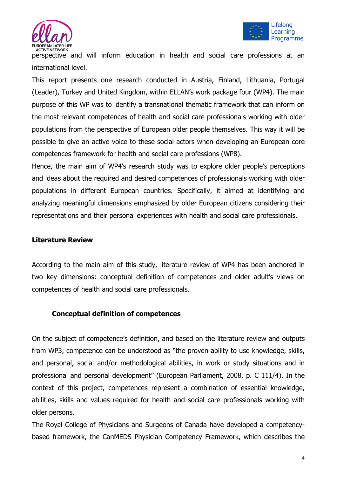



perspective and will inform education in health and social care professions at an international level.

This report presents one research conducted in Austria, Finland, Lithuania, Portugal (Leader), Turkey and United Kingdom, within ELLAN's work package four (WP4). The main purpose of this WP was to identify a transnational thematic framework that can inform on the most relevant competences of health and social care professionals working with older populations from the perspective of European older people themselves. This way it will be possible to give an active voice to these social actors when developing an European core competences framework for health and social care professions (WP8).

Hence, the main aim of WP4's research study was to explore older people's perceptions and ideas about the required and desired competences of professionals working with older populations in different European countries. Specifically, it aimed at identifying and analyzing meaningful dimensions emphasized by older European citizens considering their representations and their personal experiences with health and social care professionals.

## **Literature Review**

According to the main aim of this study, literature review of WP4 has been anchored in two key dimensions: conceptual definition of competences and older adult's views on competences of health and social care professionals.

## **Conceptual definition of competences**

On the subject of competence's definition, and based on the literature review and outputs from WP3, competence can be understood as "the proven ability to use knowledge, skills, and personal, social and/or methodological abilities, in work or study situations and in professional and personal development" (European Parliament, 2008, p. C 111/4). In the context of this project, competences represent a combination of essential knowledge, abilities, skills and values required for health and social care professionals working with older persons.

The Royal College of Physicians and Surgeons of Canada have developed a competencybased framework, the CanMEDS Physician Competency Framework, which describes the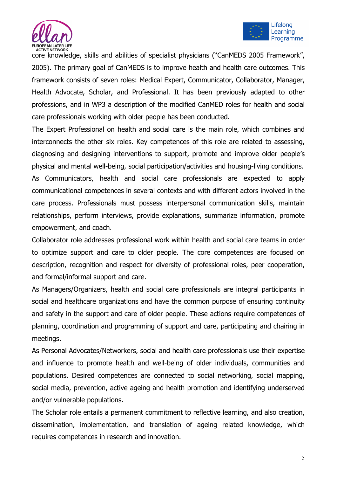



core knowledge, skills and abilities of specialist physicians ("CanMEDS 2005 Framework", 2005). The primary goal of CanMEDS is to improve health and health care outcomes. This framework consists of seven roles: Medical Expert, Communicator, Collaborator, Manager, Health Advocate, Scholar, and Professional. It has been previously adapted to other professions, and in WP3 a description of the modified CanMED roles for health and social care professionals working with older people has been conducted.

The Expert Professional on health and social care is the main role, which combines and interconnects the other six roles. Key competences of this role are related to assessing, diagnosing and designing interventions to support, promote and improve older people's physical and mental well-being, social participation/activities and housing-living conditions. As Communicators, health and social care professionals are expected to apply communicational competences in several contexts and with different actors involved in the care process. Professionals must possess interpersonal communication skills, maintain relationships, perform interviews, provide explanations, summarize information, promote empowerment, and coach.

Collaborator role addresses professional work within health and social care teams in order to optimize support and care to older people. The core competences are focused on description, recognition and respect for diversity of professional roles, peer cooperation, and formal/informal support and care.

As Managers/Organizers, health and social care professionals are integral participants in social and healthcare organizations and have the common purpose of ensuring continuity and safety in the support and care of older people. These actions require competences of planning, coordination and programming of support and care, participating and chairing in meetings.

As Personal Advocates/Networkers, social and health care professionals use their expertise and influence to promote health and well-being of older individuals, communities and populations. Desired competences are connected to social networking, social mapping, social media, prevention, active ageing and health promotion and identifying underserved and/or vulnerable populations.

The Scholar role entails a permanent commitment to reflective learning, and also creation, dissemination, implementation, and translation of ageing related knowledge, which requires competences in research and innovation.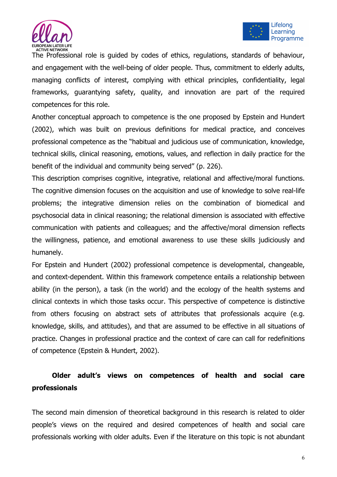



The Professional role is guided by codes of ethics, regulations, standards of behaviour, and engagement with the well-being of older people. Thus, commitment to elderly adults, managing conflicts of interest, complying with ethical principles, confidentiality, legal frameworks, guarantying safety, quality, and innovation are part of the required competences for this role.

Another conceptual approach to competence is the one proposed by Epstein and Hundert (2002), which was built on previous definitions for medical practice, and conceives professional competence as the "habitual and judicious use of communication, knowledge, technical skills, clinical reasoning, emotions, values, and reflection in daily practice for the benefit of the individual and community being served" (p. 226).

This description comprises cognitive, integrative, relational and affective/moral functions. The cognitive dimension focuses on the acquisition and use of knowledge to solve real-life problems; the integrative dimension relies on the combination of biomedical and psychosocial data in clinical reasoning; the relational dimension is associated with effective communication with patients and colleagues; and the affective/moral dimension reflects the willingness, patience, and emotional awareness to use these skills judiciously and humanely.

For Epstein and Hundert (2002) professional competence is developmental, changeable, and context-dependent. Within this framework competence entails a relationship between ability (in the person), a task (in the world) and the ecology of the health systems and clinical contexts in which those tasks occur. This perspective of competence is distinctive from others focusing on abstract sets of attributes that professionals acquire (e.g. knowledge, skills, and attitudes), and that are assumed to be effective in all situations of practice. Changes in professional practice and the context of care can call for redefinitions of competence (Epstein & Hundert, 2002).

# **Older adult's views on competences of health and social care professionals**

The second main dimension of theoretical background in this research is related to older people's views on the required and desired competences of health and social care professionals working with older adults. Even if the literature on this topic is not abundant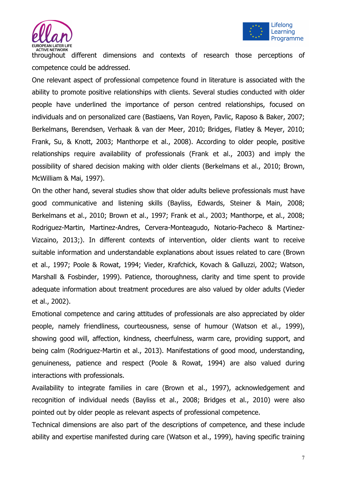



throughout different dimensions and contexts of research those perceptions of competence could be addressed.

One relevant aspect of professional competence found in literature is associated with the ability to promote positive relationships with clients. Several studies conducted with older people have underlined the importance of person centred relationships, focused on individuals and on personalized care (Bastiaens, Van Royen, Pavlic, Raposo & Baker, 2007; Berkelmans, Berendsen, Verhaak & van der Meer, 2010; Bridges, Flatley & Meyer, 2010; Frank, Su, & Knott, 2003; Manthorpe et al., 2008). According to older people, positive relationships require availability of professionals (Frank et al., 2003) and imply the possibility of shared decision making with older clients (Berkelmans et al., 2010; Brown, McWilliam & Mai, 1997).

On the other hand, several studies show that older adults believe professionals must have good communicative and listening skills (Bayliss, Edwards, Steiner & Main, 2008; Berkelmans et al., 2010; Brown et al., 1997; Frank et al., 2003; Manthorpe, et al., 2008; Rodriguez-Martin, Martinez-Andres, Cervera-Monteagudo, Notario-Pacheco & Martinez-Vizcaino, 2013;). In different contexts of intervention, older clients want to receive suitable information and understandable explanations about issues related to care (Brown et al., 1997; Poole & Rowat, 1994; Vieder, Krafchick, Kovach & Galluzzi, 2002; Watson, Marshall & Fosbinder, 1999). Patience, thoroughness, clarity and time spent to provide adequate information about treatment procedures are also valued by older adults (Vieder et al., 2002).

Emotional competence and caring attitudes of professionals are also appreciated by older people, namely friendliness, courteousness, sense of humour (Watson et al., 1999), showing good will, affection, kindness, cheerfulness, warm care, providing support, and being calm (Rodriguez-Martin et al., 2013). Manifestations of good mood, understanding, genuineness, patience and respect (Poole & Rowat, 1994) are also valued during interactions with professionals.

Availability to integrate families in care (Brown et al., 1997), acknowledgement and recognition of individual needs (Bayliss et al., 2008; Bridges et al., 2010) were also pointed out by older people as relevant aspects of professional competence.

Technical dimensions are also part of the descriptions of competence, and these include ability and expertise manifested during care (Watson et al., 1999), having specific training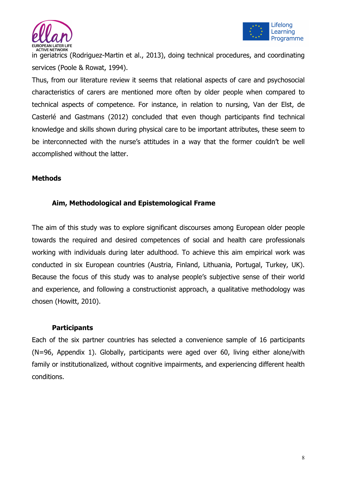



in geriatrics (Rodriguez-Martin et al., 2013), doing technical procedures, and coordinating services (Poole & Rowat, 1994).

Thus, from our literature review it seems that relational aspects of care and psychosocial characteristics of carers are mentioned more often by older people when compared to technical aspects of competence. For instance, in relation to nursing, Van der Elst, de Casterlé and Gastmans (2012) concluded that even though participants find technical knowledge and skills shown during physical care to be important attributes, these seem to be interconnected with the nurse's attitudes in a way that the former couldn't be well accomplished without the latter.

## **Methods**

## **Aim, Methodological and Epistemological Frame**

The aim of this study was to explore significant discourses among European older people towards the required and desired competences of social and health care professionals working with individuals during later adulthood. To achieve this aim empirical work was conducted in six European countries (Austria, Finland, Lithuania, Portugal, Turkey, UK). Because the focus of this study was to analyse people's subjective sense of their world and experience, and following a constructionist approach, a qualitative methodology was chosen (Howitt, 2010).

## **Participants**

Each of the six partner countries has selected a convenience sample of 16 participants (N=96, Appendix 1). Globally, participants were aged over 60, living either alone/with family or institutionalized, without cognitive impairments, and experiencing different health conditions.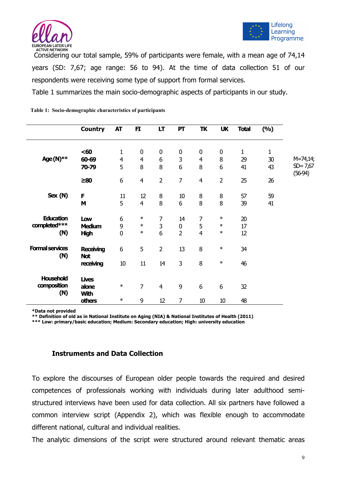



Considering our total sample, 59% of participants were female, with a mean age of 74,14 years (SD: 7,67; age range: 56 to 94). At the time of data collection 51 of our respondents were receiving some type of support from formal services.

Table 1 summarizes the main socio-demographic aspects of participants in our study.

|                                           | <b>Country</b>                              | <b>AT</b>                          | FI.                                     | LT                                 | PT                                | TK                                      | <b>UK</b>                  | <b>Total</b>             | (9/0)                    |                             |
|-------------------------------------------|---------------------------------------------|------------------------------------|-----------------------------------------|------------------------------------|-----------------------------------|-----------------------------------------|----------------------------|--------------------------|--------------------------|-----------------------------|
| Age(N)**                                  | $60$<br>60-69<br>70-79                      | $\mathbf 1$<br>$\overline{4}$<br>5 | $\boldsymbol{0}$<br>$\overline{4}$<br>8 | $\pmb{0}$<br>$\boldsymbol{6}$<br>8 | $\pmb{0}$<br>3<br>6               | $\boldsymbol{0}$<br>$\overline{4}$<br>8 | $\boldsymbol{0}$<br>8<br>6 | $\mathbf{1}$<br>29<br>41 | $\mathbf{1}$<br>30<br>43 | $M = 74,14;$<br>$SD = 7,67$ |
|                                           | $\geq 80$                                   | 6                                  | $\overline{4}$                          | $\overline{2}$                     | $\overline{7}$                    | $\overline{4}$                          | $\overline{2}$             | 25                       | 26                       | $(56-94)$                   |
| Sex (N)                                   | F<br>M                                      | 11<br>5                            | 12<br>$\overline{4}$                    | $\, 8$<br>8                        | $10\,$<br>6                       | 8<br>8                                  | 8<br>8                     | 57<br>39                 | 59<br>41                 |                             |
| <b>Education</b><br>$completed***$<br>(N) | Low<br><b>Medium</b><br><b>High</b>         | 6<br>9<br>$\mathbf 0$              | $\ast$<br>$\ast$<br>$\ast$              | $\overline{7}$<br>3<br>6           | 14<br>$\pmb{0}$<br>$\overline{2}$ | 7<br>5<br>$\overline{4}$                | $\ast$<br>$\ast$<br>$\ast$ | 20<br>17<br>12           |                          |                             |
| <b>Formal services</b><br>(N)             | <b>Receiving</b><br><b>Not</b><br>receiving | 6<br>$10\,$                        | 5<br>11                                 | $\overline{2}$<br>14               | 13<br>3                           | 8<br>8                                  | $\ast$<br>$\ast$           | 34<br>46                 |                          |                             |
| Household<br>composition<br>(N)           | <b>Lives</b><br>alone<br><b>With</b>        | $\ast$                             | $\overline{7}$                          | $\overline{4}$                     | 9                                 | 6                                       | 6                          | 32                       |                          |                             |
|                                           | <b>others</b>                               | $\ast$                             | 9                                       | 12                                 | 7                                 | 10                                      | 10                         | 48                       |                          |                             |

**Table 1: Socio-demographic characteristics of participants**

**\*Data not provided**

**\*\* Definition of old as in National Institute on Aging (NIA) & National Institutes of Health (2011)**

**\*\*\* Low: primary/basic education; Medium: Secondary education; High: university education**

#### **Instruments and Data Collection**

To explore the discourses of European older people towards the required and desired competences of professionals working with individuals during later adulthood semistructured interviews have been used for data collection. All six partners have followed a common interview script (Appendix 2), which was flexible enough to accommodate different national, cultural and individual realities.

The analytic dimensions of the script were structured around relevant thematic areas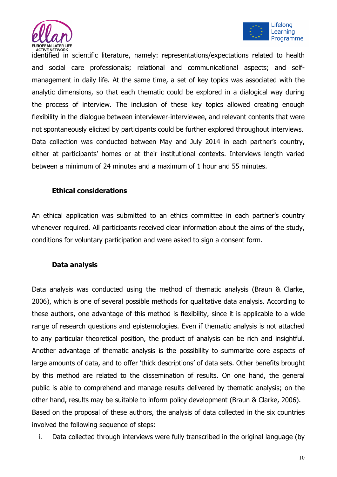



identified in scientific literature, namely: representations/expectations related to health and social care professionals; relational and communicational aspects; and selfmanagement in daily life. At the same time, a set of key topics was associated with the analytic dimensions, so that each thematic could be explored in a dialogical way during the process of interview. The inclusion of these key topics allowed creating enough flexibility in the dialogue between interviewer-interviewee, and relevant contents that were not spontaneously elicited by participants could be further explored throughout interviews. Data collection was conducted between May and July 2014 in each partner's country, either at participants' homes or at their institutional contexts. Interviews length varied between a minimum of 24 minutes and a maximum of 1 hour and 55 minutes.

## **Ethical considerations**

An ethical application was submitted to an ethics committee in each partner's country whenever required. All participants received clear information about the aims of the study, conditions for voluntary participation and were asked to sign a consent form.

## **Data analysis**

Data analysis was conducted using the method of thematic analysis (Braun & Clarke, 2006), which is one of several possible methods for qualitative data analysis. According to these authors, one advantage of this method is flexibility, since it is applicable to a wide range of research questions and epistemologies. Even if thematic analysis is not attached to any particular theoretical position, the product of analysis can be rich and insightful. Another advantage of thematic analysis is the possibility to summarize core aspects of large amounts of data, and to offer 'thick descriptions' of data sets. Other benefits brought by this method are related to the dissemination of results. On one hand, the general public is able to comprehend and manage results delivered by thematic analysis; on the other hand, results may be suitable to inform policy development (Braun & Clarke, 2006). Based on the proposal of these authors, the analysis of data collected in the six countries involved the following sequence of steps:

i. Data collected through interviews were fully transcribed in the original language (by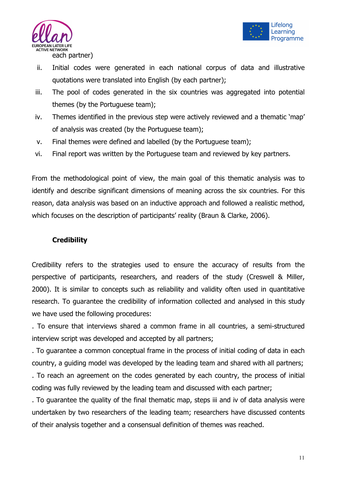



- ii. Initial codes were generated in each national corpus of data and illustrative quotations were translated into English (by each partner);
- iii. The pool of codes generated in the six countries was aggregated into potential themes (by the Portuguese team);
- iv. Themes identified in the previous step were actively reviewed and a thematic 'map' of analysis was created (by the Portuguese team);
- v. Final themes were defined and labelled (by the Portuguese team);
- vi. Final report was written by the Portuguese team and reviewed by key partners.

From the methodological point of view, the main goal of this thematic analysis was to identify and describe significant dimensions of meaning across the six countries. For this reason, data analysis was based on an inductive approach and followed a realistic method, which focuses on the description of participants' reality (Braun & Clarke, 2006).

## **Credibility**

Credibility refers to the strategies used to ensure the accuracy of results from the perspective of participants, researchers, and readers of the study (Creswell & Miller, 2000). It is similar to concepts such as reliability and validity often used in quantitative research. To guarantee the credibility of information collected and analysed in this study we have used the following procedures:

. To ensure that interviews shared a common frame in all countries, a semi-structured interview script was developed and accepted by all partners;

. To guarantee a common conceptual frame in the process of initial coding of data in each country, a guiding model was developed by the leading team and shared with all partners;

. To reach an agreement on the codes generated by each country, the process of initial coding was fully reviewed by the leading team and discussed with each partner;

. To guarantee the quality of the final thematic map, steps iii and iv of data analysis were undertaken by two researchers of the leading team; researchers have discussed contents of their analysis together and a consensual definition of themes was reached.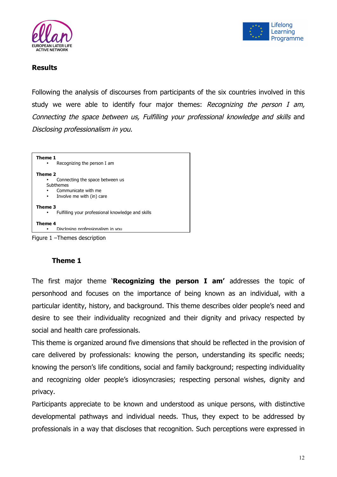



## **Results**

Following the analysis of discourses from participants of the six countries involved in this study we were able to identify four major themes: Recognizing the person I am, Connecting the space between us, Fulfilling your professional knowledge and skills and Disclosing professionalism in you.



## **Theme 1**

The first major theme '**Recognizing the person I am'** addresses the topic of personhood and focuses on the importance of being known as an individual, with a particular identity, history, and background. This theme describes older people's need and desire to see their individuality recognized and their dignity and privacy respected by social and health care professionals.

This theme is organized around five dimensions that should be reflected in the provision of care delivered by professionals: knowing the person, understanding its specific needs; knowing the person's life conditions, social and family background; respecting individuality and recognizing older people's idiosyncrasies; respecting personal wishes, dignity and privacy.

Participants appreciate to be known and understood as unique persons, with distinctive developmental pathways and individual needs. Thus, they expect to be addressed by professionals in a way that discloses that recognition. Such perceptions were expressed in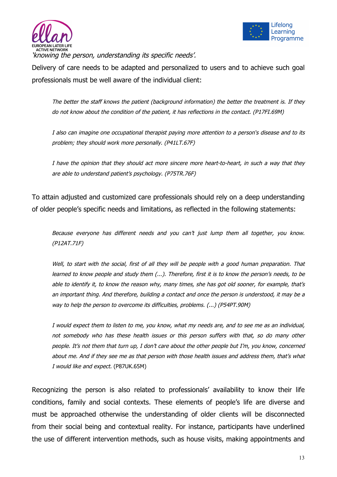



'knowing the person, understanding its specific needs'.

Delivery of care needs to be adapted and personalized to users and to achieve such goal professionals must be well aware of the individual client:

The better the staff knows the patient (background information) the better the treatment is. If they do not know about the condition of the patient, it has reflections in the contact. (P17FI.69M)

I also can imagine one occupational therapist paying more attention to a person's disease and to its problem; they should work more personally. (P41LT.67F)

I have the opinion that they should act more sincere more heart-to-heart, in such a way that they are able to understand patient's psychology. (P75TR.76F)

To attain adjusted and customized care professionals should rely on a deep understanding of older people's specific needs and limitations, as reflected in the following statements:

Because everyone has different needs and you can't just lump them all together, you know. (P12AT.71F)

Well, to start with the social, first of all they will be people with a good human preparation. That learned to know people and study them (...). Therefore, first it is to know the person's needs, to be able to identify it, to know the reason why, many times, she has got old sooner, for example, that's an important thing. And therefore, building a contact and once the person is understood, it may be a way to help the person to overcome its difficulties, problems. (...) (P54PT.90M)

I would expect them to listen to me, you know, what my needs are, and to see me as an individual, not somebody who has these health issues or this person suffers with that, so do many other people. It's not them that turn up, I don't care about the other people but I'm, you know, concerned about me. And if they see me as that person with those health issues and address them, that's what I would like and expect. (P87UK.65M)

Recognizing the person is also related to professionals' availability to know their life conditions, family and social contexts. These elements of people's life are diverse and must be approached otherwise the understanding of older clients will be disconnected from their social being and contextual reality. For instance, participants have underlined the use of different intervention methods, such as house visits, making appointments and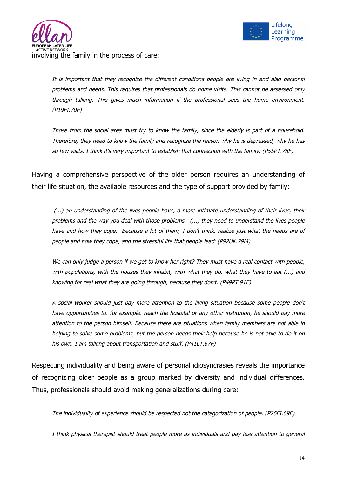

It is important that they recognize the different conditions people are living in and also personal problems and needs. This requires that professionals do home visits. This cannot be assessed only through talking. This gives much information if the professional sees the home environment. (P19FI.70F)

Those from the social area must try to know the family, since the elderly is part of a household. Therefore, they need to know the family and recognize the reason why he is depressed, why he has so few visits. I think it's very important to establish that connection with the family. (P55PT.78F)

Having a comprehensive perspective of the older person requires an understanding of their life situation, the available resources and the type of support provided by family:

(...) an understanding of the lives people have, a more intimate understanding of their lives, their problems and the way you deal with those problems. (...) they need to understand the lives people have and how they cope. Because a lot of them, I don't think, realize just what the needs are of people and how they cope, and the stressful life that people lead' (P92UK.79M)

We can only judge a person if we get to know her right? They must have a real contact with people, with populations, with the houses they inhabit, with what they do, what they have to eat (...) and knowing for real what they are going through, because they don't. (P49PT.91F)

A social worker should just pay more attention to the living situation because some people don't have opportunities to, for example, reach the hospital or any other institution, he should pay more attention to the person himself. Because there are situations when family members are not able in helping to solve some problems, but the person needs their help because he is not able to do it on his own. I am talking about transportation and stuff. (P41LT.67F)

Respecting individuality and being aware of personal idiosyncrasies reveals the importance of recognizing older people as a group marked by diversity and individual differences. Thus, professionals should avoid making generalizations during care:

The individuality of experience should be respected not the categorization of people. (P26FI.69F)

I think physical therapist should treat people more as individuals and pay less attention to general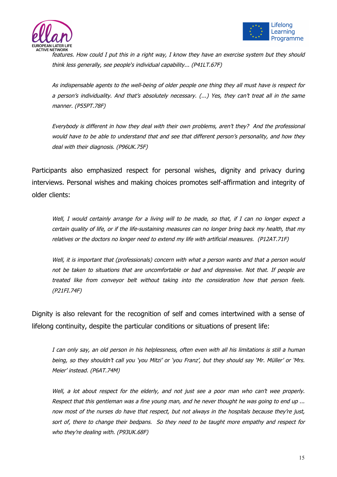



features. How could I put this in a right way, I know they have an exercise system but they should think less generally, see people's individual capability... (P41LT.67F)

As indispensable agents to the well-being of older people one thing they all must have is respect for a person's individuality. And that's absolutely necessary. (...) Yes, they can't treat all in the same manner. (P55PT.78F)

Everybody is different in how they deal with their own problems, aren't they? And the professional would have to be able to understand that and see that different person's personality, and how they deal with their diagnosis. (P96UK.75F)

Participants also emphasized respect for personal wishes, dignity and privacy during interviews. Personal wishes and making choices promotes self-affirmation and integrity of older clients:

Well, I would certainly arrange for a living will to be made, so that, if I can no longer expect a certain quality of life, or if the life-sustaining measures can no longer bring back my health, that my relatives or the doctors no longer need to extend my life with artificial measures. (P12AT.71F)

Well, it is important that (professionals) concern with what a person wants and that a person would not be taken to situations that are uncomfortable or bad and depressive. Not that. If people are treated like from conveyor belt without taking into the consideration how that person feels. (P21FI.74F)

Dignity is also relevant for the recognition of self and comes intertwined with a sense of lifelong continuity, despite the particular conditions or situations of present life:

I can only say, an old person in his helplessness, often even with all his limitations is still a human being, so they shouldn't call you 'you Mitzi' or 'you Franz', but they should say 'Mr. Müller' or 'Mrs. Meier' instead. (P6AT.74M)

Well, a lot about respect for the elderly, and not just see a poor man who can't wee properly. Respect that this gentleman was a fine young man, and he never thought he was going to end up ... now most of the nurses do have that respect, but not always in the hospitals because they're just, sort of, there to change their bedpans. So they need to be taught more empathy and respect for who they're dealing with. (P93UK.68F)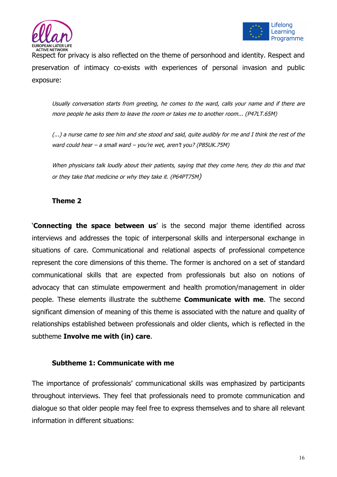



Respect for privacy is also reflected on the theme of personhood and identity. Respect and preservation of intimacy co-exists with experiences of personal invasion and public exposure:

Usually conversation starts from greeting, he comes to the ward, calls your name and if there are more people he asks them to leave the room or takes me to another room... (P47LT.65M)

(...) a nurse came to see him and she stood and said, quite audibly for me and I think the rest of the ward could hear – a small ward – you're wet, aren't you? (P85UK.75M)

When physicians talk loudly about their patients, saying that they come here, they do this and that or they take that medicine or why they take it. (P64PT75M)

## **Theme 2**

'**Connecting the space between us**' is the second major theme identified across interviews and addresses the topic of interpersonal skills and interpersonal exchange in situations of care. Communicational and relational aspects of professional competence represent the core dimensions of this theme. The former is anchored on a set of standard communicational skills that are expected from professionals but also on notions of advocacy that can stimulate empowerment and health promotion/management in older people. These elements illustrate the subtheme **Communicate with me**. The second significant dimension of meaning of this theme is associated with the nature and quality of relationships established between professionals and older clients, which is reflected in the subtheme **Involve me with (in) care**.

## **Subtheme 1: Communicate with me**

The importance of professionals' communicational skills was emphasized by participants throughout interviews. They feel that professionals need to promote communication and dialogue so that older people may feel free to express themselves and to share all relevant information in different situations: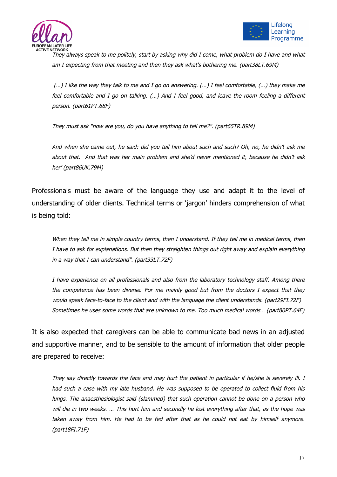



They always speak to me politely, start by asking why did I come, what problem do I have and what am I expecting from that meeting and then they ask what's bothering me. (part38LT.69M)

(…) I like the way they talk to me and I go on answering. (…) I feel comfortable, (…) they make me feel comfortable and I go on talking. (…) And I feel good, and leave the room feeling a different person. (part61PT.68F)

They must ask "how are you, do you have anything to tell me?". (part65TR.89M)

And when she came out, he said: did you tell him about such and such? Oh, no, he didn't ask me about that. And that was her main problem and she'd never mentioned it, because he didn't ask her' (part86UK.79M)

Professionals must be aware of the language they use and adapt it to the level of understanding of older clients. Technical terms or 'jargon' hinders comprehension of what is being told:

When they tell me in simple country terms, then I understand. If they tell me in medical terms, then I have to ask for explanations. But then they straighten things out right away and explain everything in a way that I can understand". (part33LT.72F)

I have experience on all professionals and also from the laboratory technology staff. Among there the competence has been diverse. For me mainly good but from the doctors I expect that they would speak face-to-face to the client and with the language the client understands. (part29FI.72F) Sometimes he uses some words that are unknown to me. Too much medical words… (part80PT.64F)

It is also expected that caregivers can be able to communicate bad news in an adjusted and supportive manner, and to be sensible to the amount of information that older people are prepared to receive:

They say directly towards the face and may hurt the patient in particular if he/she is severely ill. I had such a case with my late husband. He was supposed to be operated to collect fluid from his lungs. The anaesthesiologist said (slammed) that such operation cannot be done on a person who will die in two weeks. ... This hurt him and secondly he lost everything after that, as the hope was taken away from him. He had to be fed after that as he could not eat by himself anymore. (part18FI.71F)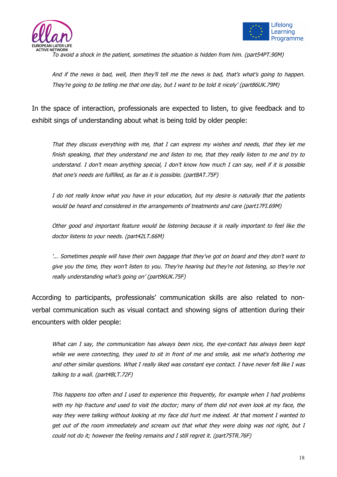



To avoid a shock in the patient, sometimes the situation is hidden from him. (part54PT.90M)

And if the news is bad, well, then they'll tell me the news is bad, that's what's going to happen. They're going to be telling me that one day, but I want to be told it nicely' (part86UK.79M)

In the space of interaction, professionals are expected to listen, to give feedback and to exhibit sings of understanding about what is being told by older people:

That they discuss everything with me, that I can express my wishes and needs, that they let me finish speaking, that they understand me and listen to me, that they really listen to me and try to understand. I don't mean anything special, I don't know how much I can say, well if it is possible that one's needs are fulfilled, as far as it is possible. (part8AT.75F)

I do not really know what you have in your education, but my desire is naturally that the patients would be heard and considered in the arrangements of treatments and care (part17FI.69M)

Other good and important feature would be listening because it is really important to feel like the doctor listens to your needs. (part42LT.66M)

'... Sometimes people will have their own baggage that they've got on board and they don't want to give you the time, they won't listen to you. They're hearing but they're not listening, so they're not really understanding what's going on' (part96UK.75F)

According to participants, professionals' communication skills are also related to nonverbal communication such as visual contact and showing signs of attention during their encounters with older people:

What can I say, the communication has always been nice, the eye-contact has always been kept while we were connecting, they used to sit in front of me and smile, ask me what's bothering me and other similar questions. What I really liked was constant eye contact. I have never felt like I was talking to a wall. (part48LT.72F)

This happens too often and I used to experience this frequently, for example when I had problems with my hip fracture and used to visit the doctor; many of them did not even look at my face, the way they were talking without looking at my face did hurt me indeed. At that moment I wanted to get out of the room immediately and scream out that what they were doing was not right, but I could not do it; however the feeling remains and I still regret it. (part75TR.76F)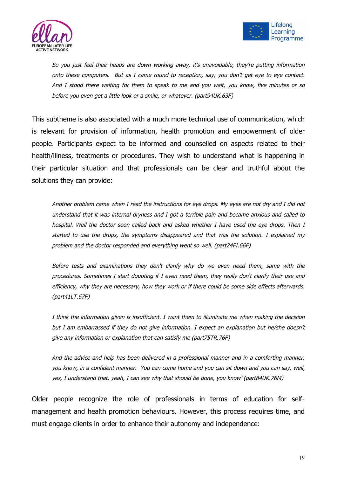



So you just feel their heads are down working away, it's unavoidable, they're putting information onto these computers. But as I came round to reception, say, you don't get eye to eye contact. And I stood there waiting for them to speak to me and you wait, you know, five minutes or so before you even get a little look or a smile, or whatever. (part94UK.63F)

This subtheme is also associated with a much more technical use of communication, which is relevant for provision of information, health promotion and empowerment of older people. Participants expect to be informed and counselled on aspects related to their health/illness, treatments or procedures. They wish to understand what is happening in their particular situation and that professionals can be clear and truthful about the solutions they can provide:

Another problem came when I read the instructions for eye drops. My eyes are not dry and I did not understand that it was internal dryness and I got a terrible pain and became anxious and called to hospital. Well the doctor soon called back and asked whether I have used the eye drops. Then I started to use the drops, the symptoms disappeared and that was the solution. I explained my problem and the doctor responded and everything went so well. (part24FI.66F)

Before tests and examinations they don't clarify why do we even need them, same with the procedures. Sometimes I start doubting if I even need them, they really don't clarify their use and efficiency, why they are necessary, how they work or if there could be some side effects afterwards. (part41LT.67F)

I think the information given is insufficient. I want them to illuminate me when making the decision but I am embarrassed if they do not give information. I expect an explanation but he/she doesn't give any information or explanation that can satisfy me (part75TR.76F)

And the advice and help has been delivered in a professional manner and in a comforting manner, you know, in a confident manner. You can come home and you can sit down and you can say, well, yes, I understand that, yeah, I can see why that should be done, you know' (part84UK.76M)

Older people recognize the role of professionals in terms of education for selfmanagement and health promotion behaviours. However, this process requires time, and must engage clients in order to enhance their autonomy and independence: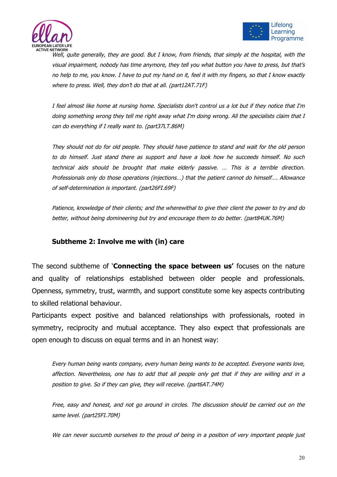



Well, quite generally, they are good. But I know, from friends, that simply at the hospital, with the visual impairment, nobody has time anymore, they tell you what button you have to press, but that's no help to me, you know. I have to put my hand on it, feel it with my fingers, so that I know exactly where to press. Well, they don't do that at all. (part12AT.71F)

I feel almost like home at nursing home. Specialists don't control us a lot but if they notice that I'm doing something wrong they tell me right away what I'm doing wrong. All the specialists claim that I can do everything if I really want to. (part37LT.86M)

They should not do for old people. They should have patience to stand and wait for the old person to do himself. Just stand there as support and have a look how he succeeds himself. No such technical aids should be brought that make elderly passive. … This is a terrible direction. Professionals only do those operations (injections…) that the patient cannot do himself…. Allowance of self-determination is important. (part26FI.69F)

Patience, knowledge of their clients; and the wherewithal to give their client the power to try and do better, without being domineering but try and encourage them to do better. (part84UK.76M)

## **Subtheme 2: Involve me with (in) care**

The second subtheme of '**Connecting the space between us'** focuses on the nature and quality of relationships established between older people and professionals. Openness, symmetry, trust, warmth, and support constitute some key aspects contributing to skilled relational behaviour.

Participants expect positive and balanced relationships with professionals, rooted in symmetry, reciprocity and mutual acceptance. They also expect that professionals are open enough to discuss on equal terms and in an honest way:

Every human being wants company, every human being wants to be accepted. Everyone wants love, affection. Nevertheless, one has to add that all people only get that if they are willing and in a position to give. So if they can give, they will receive. (part6AT.74M)

Free, easy and honest, and not go around in circles. The discussion should be carried out on the same level. (part25FI.70M)

We can never succumb ourselves to the proud of being in a position of very important people just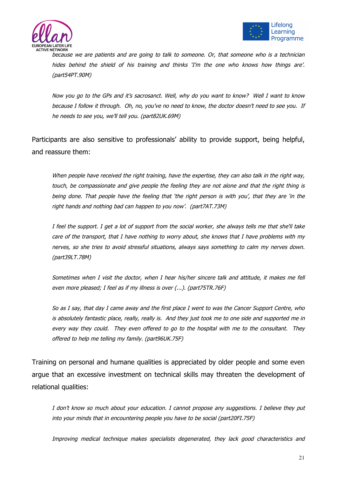



because we are patients and are going to talk to someone. Or, that someone who is a technician hides behind the shield of his training and thinks 'I'm the one who knows how things are'. (part54PT.90M)

Now you go to the GPs and it's sacrosanct. Well, why do you want to know? Well I want to know because I follow it through. Oh, no, you've no need to know, the doctor doesn't need to see you. If he needs to see you, we'll tell you. (part82UK.69M)

Participants are also sensitive to professionals' ability to provide support, being helpful, and reassure them:

When people have received the right training, have the expertise, they can also talk in the right way, touch, be compassionate and give people the feeling they are not alone and that the right thing is being done. That people have the feeling that 'the right person is with you', that they are 'in the right hands and nothing bad can happen to you now'. (part7AT.73M)

I feel the support. I get a lot of support from the social worker, she always tells me that she'll take care of the transport, that I have nothing to worry about, she knows that I have problems with my nerves, so she tries to avoid stressful situations, always says something to calm my nerves down. (part39LT.78M)

Sometimes when I visit the doctor, when I hear his/her sincere talk and attitude, it makes me fell even more pleased; I feel as if my illness is over (...). (part75TR.76F)

So as I say, that day I came away and the first place I went to was the Cancer Support Centre, who is absolutely fantastic place, really, really is. And they just took me to one side and supported me in every way they could. They even offered to go to the hospital with me to the consultant. They offered to help me telling my family. (part96UK.75F)

Training on personal and humane qualities is appreciated by older people and some even argue that an excessive investment on technical skills may threaten the development of relational qualities:

I don't know so much about your education. I cannot propose any suggestions. I believe they put into your minds that in encountering people you have to be social (part20FI.75F)

Improving medical technique makes specialists degenerated, they lack good characteristics and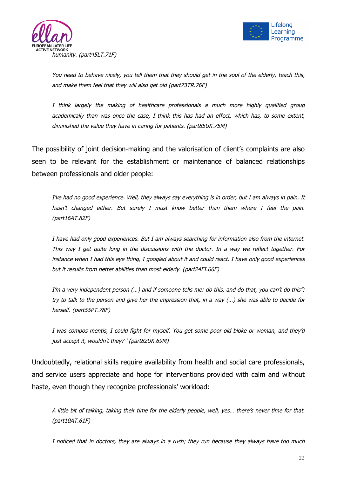



You need to behave nicely, you tell them that they should get in the soul of the elderly, teach this, and make them feel that they will also get old (part73TR.76F)

I think largely the making of healthcare professionals a much more highly qualified group academically than was once the case, I think this has had an effect, which has, to some extent, diminished the value they have in caring for patients. (part85UK.75M)

The possibility of joint decision-making and the valorisation of client's complaints are also seen to be relevant for the establishment or maintenance of balanced relationships between professionals and older people:

I've had no good experience. Well, they always say everything is in order, but I am always in pain. It hasn't changed either. But surely I must know better than them where I feel the pain. (part16AT.82F)

I have had only good experiences. But I am always searching for information also from the internet. This way I get quite long in the discussions with the doctor. In a way we reflect together. For instance when I had this eye thing, I googled about it and could react. I have only good experiences but it results from better abilities than most elderly. (part24FI.66F)

I'm a very independent person (...) and if someone tells me: do this, and do that, you can't do this"; try to talk to the person and give her the impression that, in a way (…) she was able to decide for herself. (part55PT.78F)

I was compos mentis, I could fight for myself. You get some poor old bloke or woman, and they'd just accept it, wouldn't they? ' (part82UK.69M)

Undoubtedly, relational skills require availability from health and social care professionals, and service users appreciate and hope for interventions provided with calm and without haste, even though they recognize professionals' workload:

A little bit of talking, taking their time for the elderly people, well, yes… there's never time for that. (part10AT.61F)

I noticed that in doctors, they are always in a rush; they run because they always have too much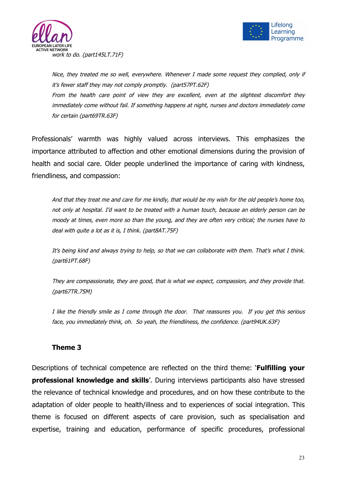



Nice, they treated me so well, everywhere. Whenever I made some request they complied, only if it's fewer staff they may not comply promptly. (part57PT.62F) From the health care point of view they are excellent, even at the slightest discomfort they immediately come without fail. If something happens at night, nurses and doctors immediately come for certain (part69TR.63F)

Professionals' warmth was highly valued across interviews. This emphasizes the importance attributed to affection and other emotional dimensions during the provision of health and social care. Older people underlined the importance of caring with kindness, friendliness, and compassion:

And that they treat me and care for me kindly, that would be my wish for the old people's home too, not only at hospital. I'd want to be treated with a human touch, because an elderly person can be moody at times, even more so than the young, and they are often very critical; the nurses have to deal with quite a lot as it is, I think. (part8AT.75F)

It's being kind and always trying to help, so that we can collaborate with them. That's what I think. (part61PT.68F)

They are compassionate, they are good, that is what we expect, compassion, and they provide that. (part67TR.75M)

I like the friendly smile as I come through the door. That reassures you. If you get this serious face, you immediately think, oh. So yeah, the friendliness, the confidence. (part94UK.63F)

## **Theme 3**

Descriptions of technical competence are reflected on the third theme: '**Fulfilling your professional knowledge and skills'.** During interviews participants also have stressed the relevance of technical knowledge and procedures, and on how these contribute to the adaptation of older people to health/illness and to experiences of social integration. This theme is focused on different aspects of care provision, such as specialisation and expertise, training and education, performance of specific procedures, professional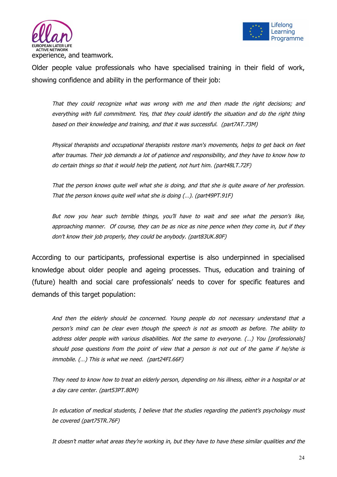



Older people value professionals who have specialised training in their field of work, showing confidence and ability in the performance of their job:

That they could recognize what was wrong with me and then made the right decisions; and everything with full commitment. Yes, that they could identify the situation and do the right thing based on their knowledge and training, and that it was successful. (part7AT.73M)

Physical therapists and occupational therapists restore man's movements, helps to get back on feet after traumas. Their job demands a lot of patience and responsibility, and they have to know how to do certain things so that it would help the patient, not hurt him. (part48LT.72F)

That the person knows quite well what she is doing, and that she is quite aware of her profession. That the person knows quite well what she is doing (…). (part49PT.91F)

But now you hear such terrible things, you'll have to wait and see what the person's like, approaching manner. Of course, they can be as nice as nine pence when they come in, but if they don't know their job properly, they could be anybody. (part83UK.80F)

According to our participants, professional expertise is also underpinned in specialised knowledge about older people and ageing processes. Thus, education and training of (future) health and social care professionals' needs to cover for specific features and demands of this target population:

And then the elderly should be concerned. Young people do not necessary understand that a person's mind can be clear even though the speech is not as smooth as before. The ability to address older people with various disabilities. Not the same to everyone. (...) You [professionals] should pose questions from the point of view that a person is not out of the game if he/she is immobile. (…) This is what we need. (part24FI.66F)

They need to know how to treat an elderly person, depending on his illness, either in a hospital or at a day care center. (part53PT.80M)

In education of medical students, I believe that the studies regarding the patient's psychology must be covered (part75TR.76F)

It doesn't matter what areas they're working in, but they have to have these similar qualities and the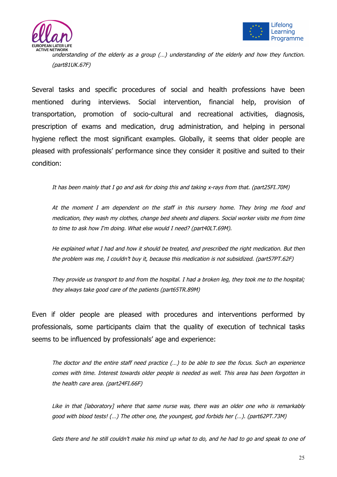



understanding of the elderly as a group (…) understanding of the elderly and how they function. (part81UK.67F)

Several tasks and specific procedures of social and health professions have been mentioned during interviews. Social intervention, financial help, provision of transportation, promotion of socio-cultural and recreational activities, diagnosis, prescription of exams and medication, drug administration, and helping in personal hygiene reflect the most significant examples. Globally, it seems that older people are pleased with professionals' performance since they consider it positive and suited to their condition:

It has been mainly that I go and ask for doing this and taking x-rays from that. (part25FI.70M)

At the moment I am dependent on the staff in this nursery home. They bring me food and medication, they wash my clothes, change bed sheets and diapers. Social worker visits me from time to time to ask how I'm doing. What else would I need? (part40LT.69M).

He explained what I had and how it should be treated, and prescribed the right medication. But then the problem was me, I couldn't buy it, because this medication is not subsidized. (part57PT.62F)

They provide us transport to and from the hospital. I had a broken leg, they took me to the hospital; they always take good care of the patients (part65TR.89M)

Even if older people are pleased with procedures and interventions performed by professionals, some participants claim that the quality of execution of technical tasks seems to be influenced by professionals' age and experience:

The doctor and the entire staff need practice (…) to be able to see the focus. Such an experience comes with time. Interest towards older people is needed as well. This area has been forgotten in the health care area. (part24FI.66F)

Like in that [laboratory] where that same nurse was, there was an older one who is remarkably good with blood tests! (…) The other one, the youngest, god forbids her (…). (part62PT.73M)

Gets there and he still couldn't make his mind up what to do, and he had to go and speak to one of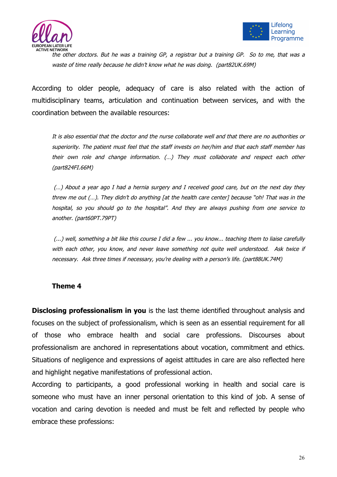



the other doctors. But he was a training GP, a registrar but a training GP. So to me, that was a waste of time really because he didn't know what he was doing. (part82UK.69M)

According to older people, adequacy of care is also related with the action of multidisciplinary teams, articulation and continuation between services, and with the coordination between the available resources:

It is also essential that the doctor and the nurse collaborate well and that there are no authorities or superiority. The patient must feel that the staff invests on her/him and that each staff member has their own role and change information. (…) They must collaborate and respect each other (part824FI.66M)

(…) About a year ago I had a hernia surgery and I received good care, but on the next day they threw me out (…). They didn't do anything [at the health care center] because "oh! That was in the hospital, so you should go to the hospital". And they are always pushing from one service to another. (part60PT.79PT)

(...) well, something a bit like this course I did a few ... you know... teaching them to liaise carefully with each other, you know, and never leave something not quite well understood. Ask twice if necessary. Ask three times if necessary, you're dealing with a person's life. (part88UK.74M)

## **Theme 4**

**Disclosing professionalism in you** is the last theme identified throughout analysis and focuses on the subject of professionalism, which is seen as an essential requirement for all of those who embrace health and social care professions. Discourses about professionalism are anchored in representations about vocation, commitment and ethics. Situations of negligence and expressions of ageist attitudes in care are also reflected here and highlight negative manifestations of professional action.

According to participants, a good professional working in health and social care is someone who must have an inner personal orientation to this kind of job. A sense of vocation and caring devotion is needed and must be felt and reflected by people who embrace these professions: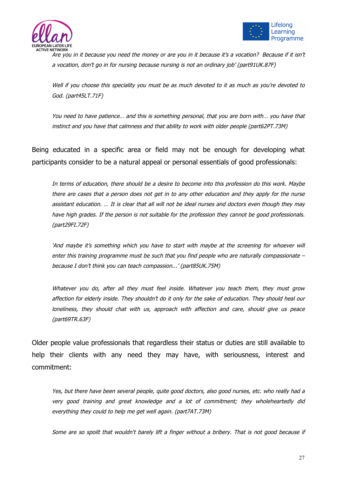



Are you in it because you need the money or are you in it because it's a vocation? Because if it isn't a vocation, don't go in for nursing because nursing is not an ordinary job' (part91UK.87F)

Well if you choose this speciality you must be as much devoted to it as much as you're devoted to God. (part45LT.71F)

You need to have patience… and this is something personal, that you are born with… you have that instinct and you have that calmness and that ability to work with older people (part62PT.73M)

Being educated in a specific area or field may not be enough for developing what participants consider to be a natural appeal or personal essentials of good professionals:

In terms of education, there should be a desire to become into this profession do this work. Maybe there are cases that a person does not get in to any other education and they apply for the nurse assistant education. … It is clear that all will not be ideal nurses and doctors even though they may have high grades. If the person is not suitable for the profession they cannot be good professionals. (part29FI.72F)

'And maybe it's something which you have to start with maybe at the screening for whoever will enter this training programme must be such that you find people who are naturally compassionate – because I don't think you can teach compassion...' (part85UK.75M)

Whatever you do, after all they must feel inside. Whatever you teach them, they must grow affection for elderly inside. They shouldn't do it only for the sake of education. They should heal our loneliness, they should chat with us, approach with affection and care, should give us peace (part69TR.63F)

Older people value professionals that regardless their status or duties are still available to help their clients with any need they may have, with seriousness, interest and commitment:

Yes, but there have been several people, quite good doctors, also good nurses, etc. who really had a very good training and great knowledge and a lot of commitment; they wholeheartedly did everything they could to help me get well again. (part7AT.73M)

Some are so spoilt that wouldn't barely lift a finger without a bribery. That is not good because if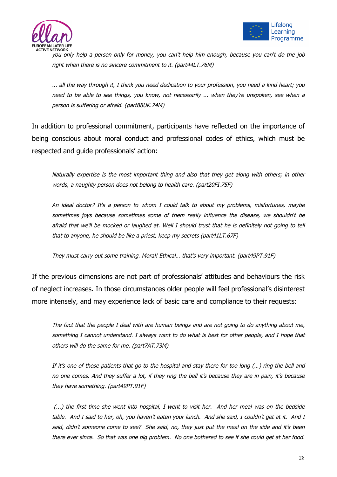



you only help a person only for money, you can't help him enough, because you can't do the job right when there is no sincere commitment to it. (part44LT.76M)

... all the way through it, I think you need dedication to your profession, you need a kind heart; you need to be able to see things, you know, not necessarily ... when they're unspoken, see when a person is suffering or afraid. (part88UK.74M)

In addition to professional commitment, participants have reflected on the importance of being conscious about moral conduct and professional codes of ethics, which must be respected and guide professionals' action:

Naturally expertise is the most important thing and also that they get along with others; in other words, a naughty person does not belong to health care. (part20FI.75F)

An ideal doctor? It's a person to whom I could talk to about my problems, misfortunes, maybe sometimes joys because sometimes some of them really influence the disease, we shouldn't be afraid that we'll be mocked or laughed at. Well I should trust that he is definitely not going to tell that to anyone, he should be like a priest, keep my secrets (part41LT.67F)

They must carry out some training. Moral! Ethical… that's very important. (part49PT.91F)

If the previous dimensions are not part of professionals' attitudes and behaviours the risk of neglect increases. In those circumstances older people will feel professional's disinterest more intensely, and may experience lack of basic care and compliance to their requests:

The fact that the people I deal with are human beings and are not going to do anything about me, something I cannot understand. I always want to do what is best for other people, and I hope that others will do the same for me. (part7AT.73M)

If it's one of those patients that go to the hospital and stay there for too long (…) ring the bell and no one comes. And they suffer a lot, if they ring the bell it's because they are in pain, it's because they have something. (part49PT.91F)

(...) the first time she went into hospital, I went to visit her. And her meal was on the bedside table. And I said to her, oh, you haven't eaten your lunch. And she said, I couldn't get at it. And I said, didn't someone come to see? She said, no, they just put the meal on the side and it's been there ever since. So that was one big problem. No one bothered to see if she could get at her food.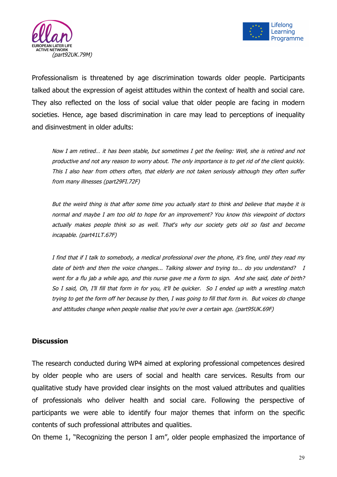



Professionalism is threatened by age discrimination towards older people. Participants talked about the expression of ageist attitudes within the context of health and social care. They also reflected on the loss of social value that older people are facing in modern societies. Hence, age based discrimination in care may lead to perceptions of inequality and disinvestment in older adults:

Now I am retired… it has been stable, but sometimes I get the feeling: Well, she is retired and not productive and not any reason to worry about. The only importance is to get rid of the client quickly. This I also hear from others often, that elderly are not taken seriously although they often suffer from many illnesses (part29FI.72F)

But the weird thing is that after some time you actually start to think and believe that maybe it is normal and maybe I am too old to hope for an improvement? You know this viewpoint of doctors actually makes people think so as well. That's why our society gets old so fast and become incapable. (part41LT.67F)

I find that if I talk to somebody, a medical professional over the phone, it's fine, until they read my date of birth and then the voice changes... Talking slower and trying to... do you understand? I went for a flu jab a while ago, and this nurse gave me a form to sign. And she said, date of birth? So I said, Oh, I'll fill that form in for you, it'll be quicker. So I ended up with a wrestling match trying to get the form off her because by then, I was going to fill that form in. But voices do change and attitudes change when people realise that you're over a certain age. (part95UK.69F)

#### **Discussion**

The research conducted during WP4 aimed at exploring professional competences desired by older people who are users of social and health care services. Results from our qualitative study have provided clear insights on the most valued attributes and qualities of professionals who deliver health and social care. Following the perspective of participants we were able to identify four major themes that inform on the specific contents of such professional attributes and qualities.

On theme 1, "Recognizing the person I am", older people emphasized the importance of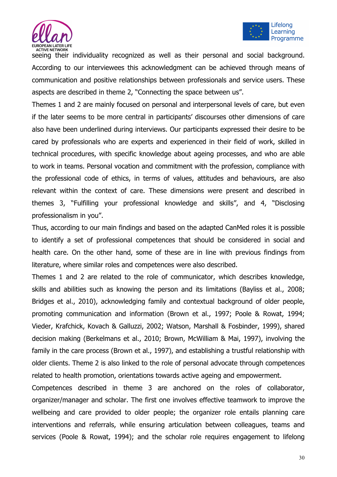



seeing their individuality recognized as well as their personal and social background. According to our interviewees this acknowledgment can be achieved through means of communication and positive relationships between professionals and service users. These aspects are described in theme 2, "Connecting the space between us".

Themes 1 and 2 are mainly focused on personal and interpersonal levels of care, but even if the later seems to be more central in participants' discourses other dimensions of care also have been underlined during interviews. Our participants expressed their desire to be cared by professionals who are experts and experienced in their field of work, skilled in technical procedures, with specific knowledge about ageing processes, and who are able to work in teams. Personal vocation and commitment with the profession, compliance with the professional code of ethics, in terms of values, attitudes and behaviours, are also relevant within the context of care. These dimensions were present and described in themes 3, "Fulfilling your professional knowledge and skills", and 4, "Disclosing professionalism in you".

Thus, according to our main findings and based on the adapted CanMed roles it is possible to identify a set of professional competences that should be considered in social and health care. On the other hand, some of these are in line with previous findings from literature, where similar roles and competences were also described.

Themes 1 and 2 are related to the role of communicator, which describes knowledge, skills and abilities such as knowing the person and its limitations (Bayliss et al., 2008; Bridges et al., 2010), acknowledging family and contextual background of older people, promoting communication and information (Brown et al., 1997; Poole & Rowat, 1994; Vieder, Krafchick, Kovach & Galluzzi, 2002; Watson, Marshall & Fosbinder, 1999), shared decision making (Berkelmans et al., 2010; Brown, McWilliam & Mai, 1997), involving the family in the care process (Brown et al., 1997), and establishing a trustful relationship with older clients. Theme 2 is also linked to the role of personal advocate through competences related to health promotion, orientations towards active ageing and empowerment.

Competences described in theme 3 are anchored on the roles of collaborator, organizer/manager and scholar. The first one involves effective teamwork to improve the wellbeing and care provided to older people; the organizer role entails planning care interventions and referrals, while ensuring articulation between colleagues, teams and services (Poole & Rowat, 1994); and the scholar role requires engagement to lifelong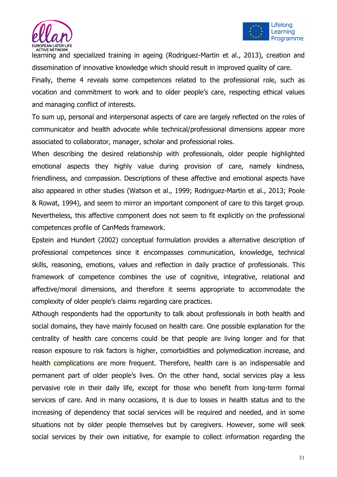



learning and specialized training in ageing (Rodriguez-Martin et al., 2013), creation and dissemination of innovative knowledge which should result in improved quality of care.

Finally, theme 4 reveals some competences related to the professional role, such as vocation and commitment to work and to older people's care, respecting ethical values and managing conflict of interests.

To sum up, personal and interpersonal aspects of care are largely reflected on the roles of communicator and health advocate while technical/professional dimensions appear more associated to collaborator, manager, scholar and professional roles.

When describing the desired relationship with professionals, older people highlighted emotional aspects they highly value during provision of care, namely kindness, friendliness, and compassion. Descriptions of these affective and emotional aspects have also appeared in other studies (Watson et al., 1999; Rodriguez-Martin et al., 2013; Poole & Rowat, 1994), and seem to mirror an important component of care to this target group. Nevertheless, this affective component does not seem to fit explicitly on the professional competences profile of CanMeds framework.

Epstein and Hundert (2002) conceptual formulation provides a alternative description of professional competences since it encompasses communication, knowledge, technical skills, reasoning, emotions, values and reflection in daily practice of professionals. This framework of competence combines the use of cognitive, integrative, relational and affective/moral dimensions, and therefore it seems appropriate to accommodate the complexity of older people's claims regarding care practices.

Although respondents had the opportunity to talk about professionals in both health and social domains, they have mainly focused on health care. One possible explanation for the centrality of health care concerns could be that people are living longer and for that reason exposure to risk factors is higher, comorbidities and polymedication increase, and health complications are more frequent. Therefore, health care is an indispensable and permanent part of older people's lives. On the other hand, social services play a less pervasive role in their daily life, except for those who benefit from long-term formal services of care. And in many occasions, it is due to losses in health status and to the increasing of dependency that social services will be required and needed, and in some situations not by older people themselves but by caregivers. However, some will seek social services by their own initiative, for example to collect information regarding the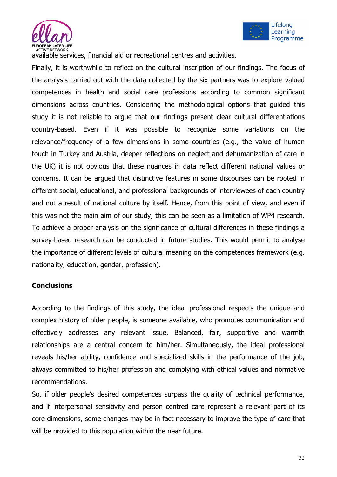



available services, financial aid or recreational centres and activities.

Finally, it is worthwhile to reflect on the cultural inscription of our findings. The focus of the analysis carried out with the data collected by the six partners was to explore valued competences in health and social care professions according to common significant dimensions across countries. Considering the methodological options that guided this study it is not reliable to argue that our findings present clear cultural differentiations country-based. Even if it was possible to recognize some variations on the relevance/frequency of a few dimensions in some countries (e.g., the value of human touch in Turkey and Austria, deeper reflections on neglect and dehumanization of care in the UK) it is not obvious that these nuances in data reflect different national values or concerns. It can be argued that distinctive features in some discourses can be rooted in different social, educational, and professional backgrounds of interviewees of each country and not a result of national culture by itself. Hence, from this point of view, and even if this was not the main aim of our study, this can be seen as a limitation of WP4 research. To achieve a proper analysis on the significance of cultural differences in these findings a survey-based research can be conducted in future studies. This would permit to analyse the importance of different levels of cultural meaning on the competences framework (e.g. nationality, education, gender, profession).

## **Conclusions**

According to the findings of this study, the ideal professional respects the unique and complex history of older people, is someone available, who promotes communication and effectively addresses any relevant issue. Balanced, fair, supportive and warmth relationships are a central concern to him/her. Simultaneously, the ideal professional reveals his/her ability, confidence and specialized skills in the performance of the job, always committed to his/her profession and complying with ethical values and normative recommendations.

So, if older people's desired competences surpass the quality of technical performance, and if interpersonal sensitivity and person centred care represent a relevant part of its core dimensions, some changes may be in fact necessary to improve the type of care that will be provided to this population within the near future.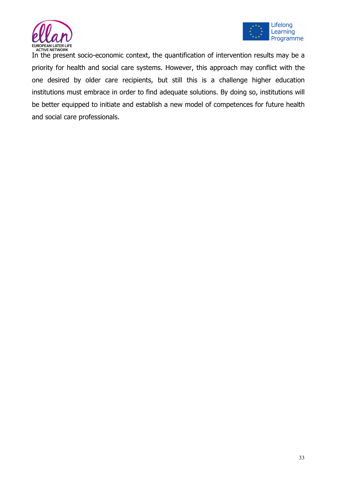



In the present socio-economic context, the quantification of intervention results may be a priority for health and social care systems. However, this approach may conflict with the one desired by older care recipients, but still this is a challenge higher education institutions must embrace in order to find adequate solutions. By doing so, institutions will be better equipped to initiate and establish a new model of competences for future health and social care professionals.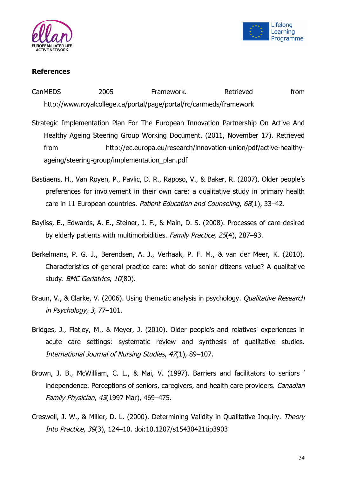



## **References**

CanMEDS 2005 Framework. Retrieved from http://www.royalcollege.ca/portal/page/portal/rc/canmeds/framework

- Strategic Implementation Plan For The European Innovation Partnership On Active And Healthy Ageing Steering Group Working Document. (2011, November 17). Retrieved from http://ec.europa.eu/research/innovation-union/pdf/active-healthyageing/steering-group/implementation\_plan.pdf
- Bastiaens, H., Van Royen, P., Pavlic, D. R., Raposo, V., & Baker, R. (2007). Older people's preferences for involvement in their own care: a qualitative study in primary health care in 11 European countries. Patient Education and Counseling, 68(1), 33-42.
- Bayliss, E., Edwards, A. E., Steiner, J. F., & Main, D. S. (2008). Processes of care desired by elderly patients with multimorbidities. Family Practice, 25(4), 287–93.
- Berkelmans, P. G. J., Berendsen, A. J., Verhaak, P. F. M., & van der Meer, K. (2010). Characteristics of general practice care: what do senior citizens value? A qualitative study. BMC Geriatrics, 10(80).
- Braun, V., & Clarke, V. (2006). Using thematic analysis in psychology. Qualitative Research in Psychology, 3, 77–101.
- Bridges, J., Flatley, M., & Meyer, J. (2010). Older people's and relatives' experiences in acute care settings: systematic review and synthesis of qualitative studies. International Journal of Nursing Studies, 47(1), 89–107.
- Brown, J. B., McWilliam, C. L., & Mai, V. (1997). Barriers and facilitators to seniors ' independence. Perceptions of seniors, caregivers, and health care providers. Canadian Family Physician, 43(1997 Mar), 469–475.
- Creswell, J. W., & Miller, D. L. (2000). Determining Validity in Qualitative Inquiry. Theory Into Practice, 39(3), 124–10. doi:10.1207/s15430421tip3903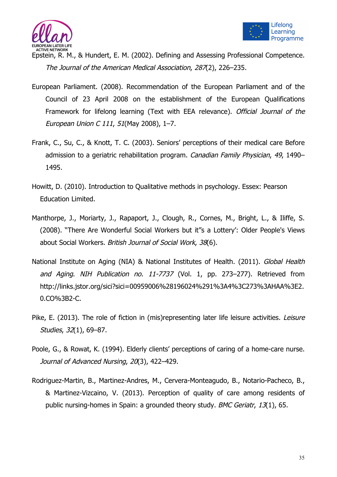



Epstein, R. M., & Hundert, E. M. (2002). Defining and Assessing Professional Competence. The Journal of the American Medical Association, 287(2), 226–235.

- European Parliament. (2008). Recommendation of the European Parliament and of the Council of 23 April 2008 on the establishment of the European Qualifications Framework for lifelong learning (Text with EEA relevance). Official Journal of the European Union C 111, 51(May 2008), 1–7.
- Frank, C., Su, C., & Knott, T. C. (2003). Seniors' perceptions of their medical care Before admission to a geriatric rehabilitation program. Canadian Family Physician, 49, 1490– 1495.
- Howitt, D. (2010). Introduction to Qualitative methods in psychology. Essex: Pearson Education Limited.
- Manthorpe, J., Moriarty, J., Rapaport, J., Clough, R., Cornes, M., Bright, L., & Iliffe, S. (2008). "There Are Wonderful Social Workers but it"s a Lottery': Older People's Views about Social Workers. British Journal of Social Work, 38(6).
- National Institute on Aging (NIA) & National Institutes of Health. (2011). Global Health and Aging. NIH Publication no. 11-7737 (Vol. 1, pp. 273–277). Retrieved from http://links.jstor.org/sici?sici=00959006%28196024%291%3A4%3C273%3AHAA%3E2. 0.CO%3B2-C.
- Pike, E. (2013). The role of fiction in (mis)representing later life leisure activities. Leisure Studies, 32(1), 69–87.
- Poole, G., & Rowat, K. (1994). Elderly clients' perceptions of caring of a home-care nurse. Journal of Advanced Nursing, 20(3), 422–429.
- Rodriguez-Martin, B., Martinez-Andres, M., Cervera-Monteagudo, B., Notario-Pacheco, B., & Martinez-Vizcaino, V. (2013). Perception of quality of care among residents of public nursing-homes in Spain: a grounded theory study. BMC Geriatr, 13(1), 65.